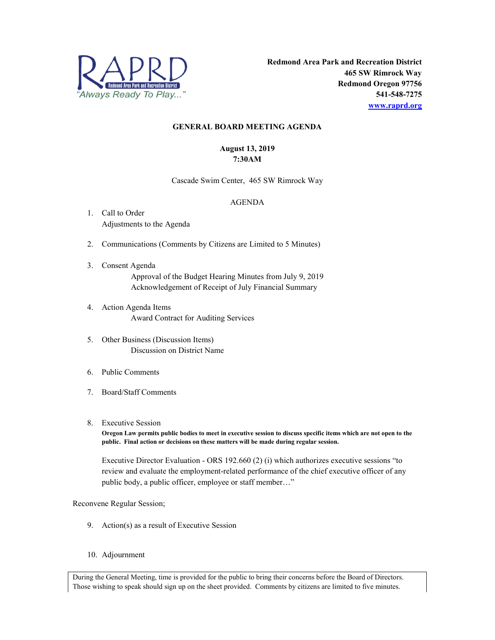

## **GENERAL BOARD MEETING AGENDA**

## **August 13, 2019 7:30AM**

Cascade Swim Center, 465 SW Rimrock Way

## AGENDA

- 1. Call to Order Adjustments to the Agenda
- 2. Communications (Comments by Citizens are Limited to 5 Minutes)
- 3. Consent Agenda Approval of the Budget Hearing Minutes from July 9, 2019 Acknowledgement of Receipt of July Financial Summary
- 4. Action Agenda Items Award Contract for Auditing Services
- 5. Other Business (Discussion Items) Discussion on District Name
- 6. Public Comments
- 7. Board/Staff Comments
- 8. Executive Session

**Oregon Law permits public bodies to meet in executive session to discuss specific items which are not open to the public. Final action or decisions on these matters will be made during regular session.**

Executive Director Evaluation - ORS 192.660 (2) (i) which authorizes executive sessions "to review and evaluate the employment-related performance of the chief executive officer of any public body, a public officer, employee or staff member…"

## Reconvene Regular Session;

- 9. Action(s) as a result of Executive Session
- 10. Adjournment

During the General Meeting, time is provided for the public to bring their concerns before the Board of Directors. Those wishing to speak should sign up on the sheet provided. Comments by citizens are limited to five minutes.